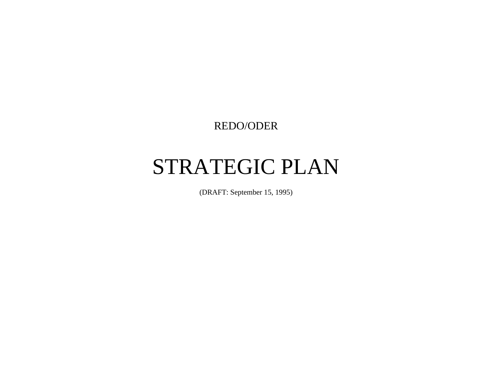REDO/ODER

# STRATEGIC PLAN

(DRAFT: September 15, 1995)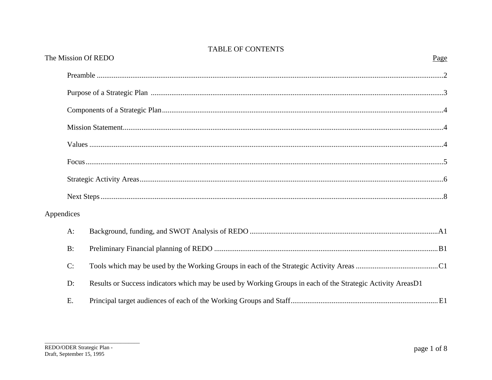|            |       | The Mission Of REDO                                                                                         | Page |
|------------|-------|-------------------------------------------------------------------------------------------------------------|------|
|            |       |                                                                                                             |      |
|            |       |                                                                                                             |      |
|            |       |                                                                                                             |      |
|            |       |                                                                                                             |      |
|            |       |                                                                                                             |      |
|            |       |                                                                                                             |      |
|            |       |                                                                                                             |      |
|            |       |                                                                                                             |      |
| Appendices |       |                                                                                                             |      |
|            | $A$ : |                                                                                                             |      |
|            | B:    |                                                                                                             |      |
|            | C:    |                                                                                                             |      |
|            | D:    | Results or Success indicators which may be used by Working Groups in each of the Strategic Activity AreasD1 |      |
|            | E.    |                                                                                                             |      |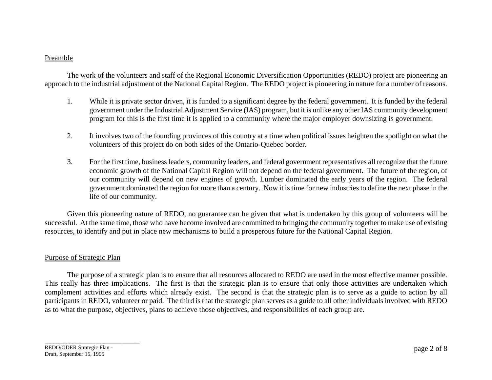#### Preamble

The work of the volunteers and staff of the Regional Economic Diversification Opportunities (REDO) project are pioneering an approach to the industrial adjustment of the National Capital Region. The REDO project is pioneering in nature for a number of reasons.

- 1. While it is private sector driven, it is funded to a significant degree by the federal government. It is funded by the federal government under the Industrial Adjustment Service (IAS) program, but it is unlike any other IAS community development program for this is the first time it is applied to a community where the major employer downsizing is government.
- 2. It involves two of the founding provinces of this country at a time when political issues heighten the spotlight on what the volunteers of this project do on both sides of the Ontario-Quebec border.
- 3. For the first time, business leaders, community leaders, and federal government representatives all recognize that the future economic growth of the National Capital Region will not depend on the federal government. The future of the region, of our community will depend on new engines of growth. Lumber dominated the early years of the region. The federal government dominated the region for more than a century. Now it is time for new industries to define the next phase in the life of our community.

Given this pioneering nature of REDO, no guarantee can be given that what is undertaken by this group of volunteers will be successful. At the same time, those who have become involved are committed to bringing the community together to make use of existing resources, to identify and put in place new mechanisms to build a prosperous future for the National Capital Region.

#### Purpose of Strategic Plan

The purpose of a strategic plan is to ensure that all resources allocated to REDO are used in the most effective manner possible. This really has three implications. The first is that the strategic plan is to ensure that only those activities are undertaken which complement activities and efforts which already exist. The second is that the strategic plan is to serve as a guide to action by all participants in REDO, volunteer or paid. The third is that the strategic plan serves as a guide to all other individuals involved with REDO as to what the purpose, objectives, plans to achieve those objectives, and responsibilities of each group are.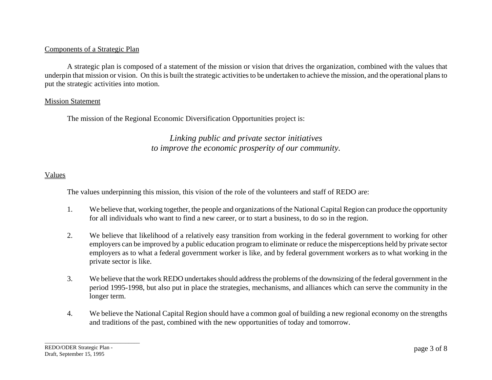#### Components of a Strategic Plan

A strategic plan is composed of a statement of the mission or vision that drives the organization, combined with the values that underpin that mission or vision. On this is built the strategic activities to be undertaken to achieve the mission, and the operational plans to put the strategic activities into motion.

#### Mission Statement

The mission of the Regional Economic Diversification Opportunities project is:

# *Linking public and private sector initiatives to improve the economic prosperity of our community.*

#### Values

The values underpinning this mission, this vision of the role of the volunteers and staff of REDO are:

- 1. We believe that, working together, the people and organizations of the National Capital Region can produce the opportunity for all individuals who want to find a new career, or to start a business, to do so in the region.
- 2. We believe that likelihood of a relatively easy transition from working in the federal government to working for other employers can be improved by a public education program to eliminate or reduce the misperceptions held by private sector employers as to what a federal government worker is like, and by federal government workers as to what working in the private sector is like.
- 3. We believe that the work REDO undertakes should address the problems of the downsizing of the federal government in the period 1995-1998, but also put in place the strategies, mechanisms, and alliances which can serve the community in the longer term.
- 4. We believe the National Capital Region should have a common goal of building a new regional economy on the strengths and traditions of the past, combined with the new opportunities of today and tomorrow.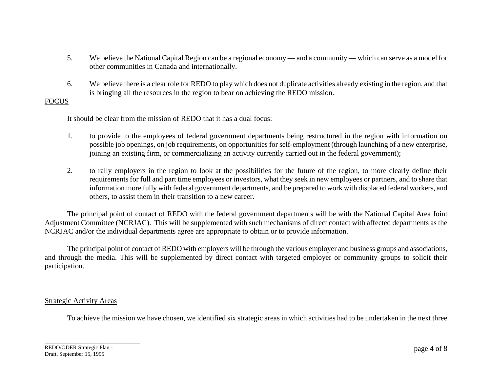- 5. We believe the National Capital Region can be a regional economy and a community which can serve as a model for other communities in Canada and internationally.
- 6. We believe there is a clear role for REDO to play which does not duplicate activities already existing in the region, and that is bringing all the resources in the region to bear on achieving the REDO mission.

#### FOCUS

It should be clear from the mission of REDO that it has a dual focus:

- 1. to provide to the employees of federal government departments being restructured in the region with information on possible job openings, on job requirements, on opportunities for self-employment (through launching of a new enterprise, joining an existing firm, or commercializing an activity currently carried out in the federal government);
- 2. to rally employers in the region to look at the possibilities for the future of the region, to more clearly define their requirements for full and part time employees or investors, what they seek in new employees or partners, and to share that information more fully with federal government departments, and be prepared to work with displaced federal workers, and others, to assist them in their transition to a new career.

The principal point of contact of REDO with the federal government departments will be with the National Capital Area Joint Adjustment Committee (NCRJAC). This will be supplemented with such mechanisms of direct contact with affected departments as the NCRJAC and/or the individual departments agree are appropriate to obtain or to provide information.

The principal point of contact of REDO with employers will be through the various employer and business groups and associations, and through the media. This will be supplemented by direct contact with targeted employer or community groups to solicit their participation.

#### **Strategic Activity Areas**

To achieve the mission we have chosen, we identified six strategic areas in which activities had to be undertaken in the next three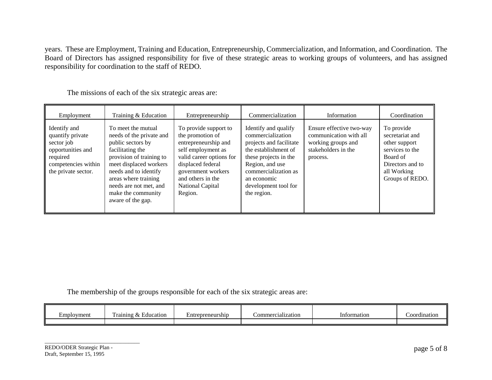years. These are Employment, Training and Education, Entrepreneurship, Commercialization, and Information, and Coordination. The Board of Directors has assigned responsibility for five of these strategic areas to working groups of volunteers, and has assigned responsibility for coordination to the staff of REDO.

| Employment                                                                                                                    | Training & Education                                                                                                                                                                                                                                                | Entrepreneurship                                                                                                                                                                                                   | Commercialization                                                                                                                                                                                                      | Information                                                                                                 | Coordination                                                                                                                        |
|-------------------------------------------------------------------------------------------------------------------------------|---------------------------------------------------------------------------------------------------------------------------------------------------------------------------------------------------------------------------------------------------------------------|--------------------------------------------------------------------------------------------------------------------------------------------------------------------------------------------------------------------|------------------------------------------------------------------------------------------------------------------------------------------------------------------------------------------------------------------------|-------------------------------------------------------------------------------------------------------------|-------------------------------------------------------------------------------------------------------------------------------------|
| Identify and<br>quantify private<br>sector job<br>opportunities and<br>required<br>competencies within<br>the private sector. | To meet the mutual<br>needs of the private and<br>public sectors by<br>facilitating the<br>provision of training to<br>meet displaced workers<br>needs and to identify<br>areas where training<br>needs are not met, and<br>make the community<br>aware of the gap. | To provide support to<br>the promotion of<br>entrepreneurship and<br>self employment as<br>valid career options for<br>displaced federal<br>government workers<br>and others in the<br>National Capital<br>Region. | Identify and qualify<br>commercialization<br>projects and facilitate<br>the establishment of<br>these projects in the<br>Region, and use<br>commercialization as<br>an economic<br>development tool for<br>the region. | Ensure effective two-way<br>communication with all<br>working groups and<br>stakeholders in the<br>process. | To provide<br>secretariat and<br>other support<br>services to the<br>Board of<br>Directors and to<br>all Working<br>Groups of REDO. |

The missions of each of the six strategic areas are:

The membership of the groups responsible for each of the six strategic areas are:

| -<br>Employment | $\mathbf{r}$<br>Training<br>Education<br>$\alpha$ | Entrepreneurship | $\cdot$<br>Commercialization | Information | <br>`oordination |
|-----------------|---------------------------------------------------|------------------|------------------------------|-------------|------------------|
|                 |                                                   |                  |                              |             |                  |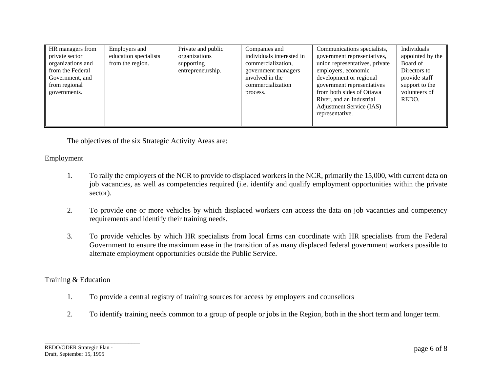| HR managers from<br>private sector<br>organizations and<br>from the Federal<br>Government, and<br>from regional<br>governments. | Employers and<br>education specialists<br>from the region. | Private and public<br>organizations<br>supporting<br>entrepreneurship. | Companies and<br>individuals interested in<br>commercialization,<br>government managers<br>involved in the<br>commercialization<br>process. | Communications specialists,<br>government representatives,<br>union representatives, private<br>employers, economic<br>development or regional<br>government representatives<br>from both sides of Ottawa<br>River, and an Industrial<br>Adjustment Service (IAS)<br>representative. | Individuals<br>appointed by the<br>Board of<br>Directors to<br>provide staff<br>support to the<br>volunteers of<br>REDO. |
|---------------------------------------------------------------------------------------------------------------------------------|------------------------------------------------------------|------------------------------------------------------------------------|---------------------------------------------------------------------------------------------------------------------------------------------|--------------------------------------------------------------------------------------------------------------------------------------------------------------------------------------------------------------------------------------------------------------------------------------|--------------------------------------------------------------------------------------------------------------------------|
|---------------------------------------------------------------------------------------------------------------------------------|------------------------------------------------------------|------------------------------------------------------------------------|---------------------------------------------------------------------------------------------------------------------------------------------|--------------------------------------------------------------------------------------------------------------------------------------------------------------------------------------------------------------------------------------------------------------------------------------|--------------------------------------------------------------------------------------------------------------------------|

The objectives of the six Strategic Activity Areas are:

# Employment

- 1. To rally the employers of the NCR to provide to displaced workers in the NCR, primarily the 15,000, with current data on job vacancies, as well as competencies required (i.e. identify and qualify employment opportunities within the private sector).
- 2. To provide one or more vehicles by which displaced workers can access the data on job vacancies and competency requirements and identify their training needs.
- 3. To provide vehicles by which HR specialists from local firms can coordinate with HR specialists from the Federal Government to ensure the maximum ease in the transition of as many displaced federal government workers possible to alternate employment opportunities outside the Public Service.

#### Training & Education

- 1. To provide a central registry of training sources for access by employers and counsellors
- 2. To identify training needs common to a group of people or jobs in the Region, both in the short term and longer term.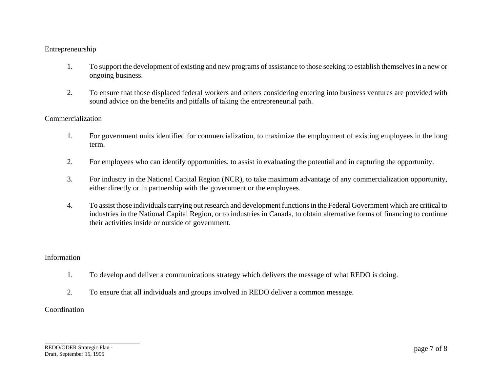#### Entrepreneurship

- 1. To support the development of existing and new programs of assistance to those seeking to establish themselves in a new or ongoing business.
- 2. To ensure that those displaced federal workers and others considering entering into business ventures are provided with sound advice on the benefits and pitfalls of taking the entrepreneurial path.

#### Commercialization

- 1. For government units identified for commercialization, to maximize the employment of existing employees in the long term.
- 2. For employees who can identify opportunities, to assist in evaluating the potential and in capturing the opportunity.
- 3. For industry in the National Capital Region (NCR), to take maximum advantage of any commercialization opportunity, either directly or in partnership with the government or the employees.
- 4. To assist those individuals carrying out research and development functions in the Federal Government which are critical to industries in the National Capital Region, or to industries in Canada, to obtain alternative forms of financing to continue their activities inside or outside of government.

#### Information

- 1. To develop and deliver a communications strategy which delivers the message of what REDO is doing.
- 2. To ensure that all individuals and groups involved in REDO deliver a common message.

#### **Coordination**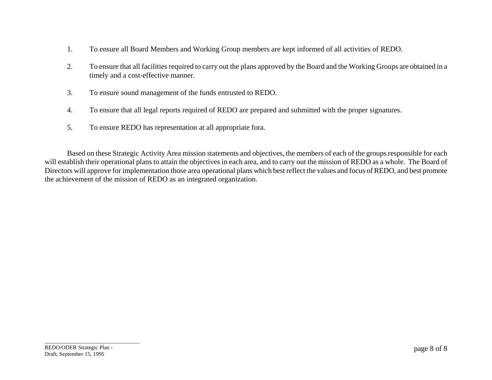- 1. To ensure all Board Members and Working Group members are kept informed of all activities of REDO.
- 2. To ensure that all facilities required to carry out the plans approved by the Board and the Working Groups are obtained in a timely and a cost-effective manner.
- 3. To ensure sound management of the funds entrusted to REDO.
- 4. To ensure that all legal reports required of REDO are prepared and submitted with the proper signatures.
- 5. To ensure REDO has representation at all appropriate fora.

Based on these Strategic Activity Area mission statements and objectives, the members of each of the groups responsible for each will establish their operational plans to attain the objectives in each area, and to carry out the mission of REDO as a whole. The Board of Directors will approve for implementation those area operational plans which best reflect the values and focus of REDO, and best promote the achievement of the mission of REDO as an integrated organization.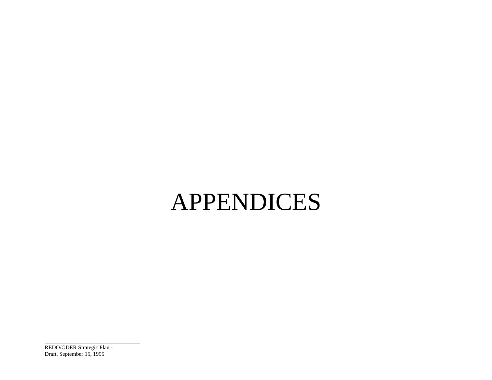# APPENDICES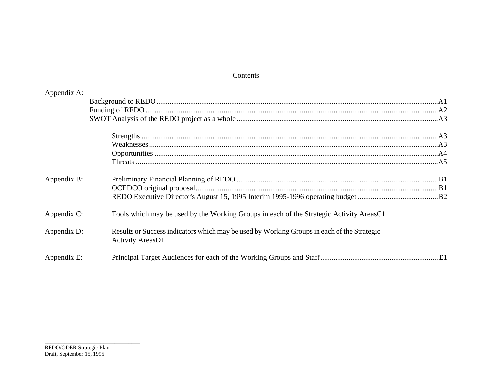#### Contents

| Appendix A: |                                                                                                                       |  |
|-------------|-----------------------------------------------------------------------------------------------------------------------|--|
|             |                                                                                                                       |  |
|             |                                                                                                                       |  |
|             |                                                                                                                       |  |
|             |                                                                                                                       |  |
|             |                                                                                                                       |  |
|             |                                                                                                                       |  |
|             |                                                                                                                       |  |
| Appendix B: |                                                                                                                       |  |
|             |                                                                                                                       |  |
|             |                                                                                                                       |  |
| Appendix C: | Tools which may be used by the Working Groups in each of the Strategic Activity AreasC1                               |  |
| Appendix D: | Results or Success indicators which may be used by Working Groups in each of the Strategic<br><b>Activity AreasD1</b> |  |
| Appendix E: |                                                                                                                       |  |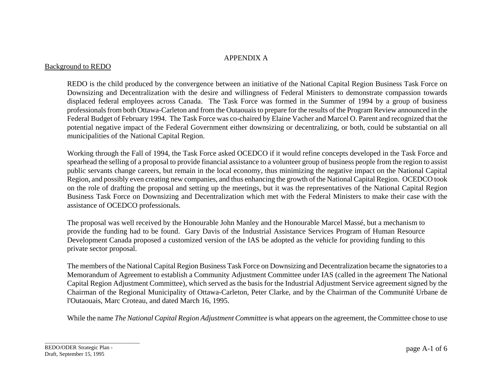#### APPENDIX A

#### Background to REDO

REDO is the child produced by the convergence between an initiative of the National Capital Region Business Task Force on Downsizing and Decentralization with the desire and willingness of Federal Ministers to demonstrate compassion towards displaced federal employees across Canada. The Task Force was formed in the Summer of 1994 by a group of business professionals from both Ottawa-Carleton and from the Outaouais to prepare for the results of the Program Review announced in the Federal Budget of February 1994. The Task Force was co-chaired by Elaine Vacher and Marcel O. Parent and recognized that the potential negative impact of the Federal Government either downsizing or decentralizing, or both, could be substantial on all municipalities of the National Capital Region.

Working through the Fall of 1994, the Task Force asked OCEDCO if it would refine concepts developed in the Task Force and spearhead the selling of a proposal to provide financial assistance to a volunteer group of business people from the region to assist public servants change careers, but remain in the local economy, thus minimizing the negative impact on the National Capital Region, and possibly even creating new companies, and thus enhancing the growth of the National Capital Region. OCEDCO took on the role of drafting the proposal and setting up the meetings, but it was the representatives of the National Capital Region Business Task Force on Downsizing and Decentralization which met with the Federal Ministers to make their case with the assistance of OCEDCO professionals.

The proposal was well received by the Honourable John Manley and the Honourable Marcel Massé, but a mechanism to provide the funding had to be found. Gary Davis of the Industrial Assistance Services Program of Human Resource Development Canada proposed a customized version of the IAS be adopted as the vehicle for providing funding to this private sector proposal.

The members of the National Capital Region Business Task Force on Downsizing and Decentralization became the signatories to a Memorandum of Agreement to establish a Community Adjustment Committee under IAS (called in the agreement The National Capital Region Adjustment Committee), which served as the basis for the Industrial Adjustment Service agreement signed by the Chairman of the Regional Municipality of Ottawa-Carleton, Peter Clarke, and by the Chairman of the Communité Urbane de l'Outaouais, Marc Croteau, and dated March 16, 1995.

While the name *The National Capital Region Adjustment Committee* is what appears on the agreement, the Committee chose to use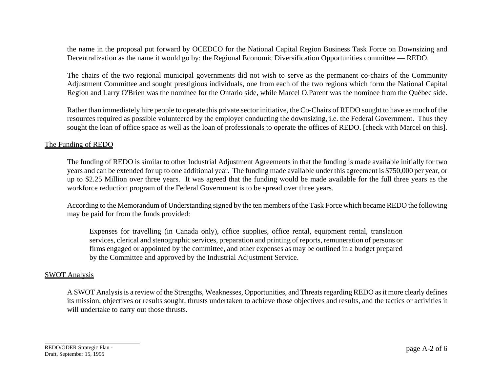the name in the proposal put forward by OCEDCO for the National Capital Region Business Task Force on Downsizing and Decentralization as the name it would go by: the Regional Economic Diversification Opportunities committee — REDO.

The chairs of the two regional municipal governments did not wish to serve as the permanent co-chairs of the Community Adjustment Committee and sought prestigious individuals, one from each of the two regions which form the National Capital Region and Larry O'Brien was the nominee for the Ontario side, while Marcel O.Parent was the nominee from the Québec side.

Rather than immediately hire people to operate this private sector initiative, the Co-Chairs of REDO sought to have as much of the resources required as possible volunteered by the employer conducting the downsizing, i.e. the Federal Government. Thus they sought the loan of office space as well as the loan of professionals to operate the offices of REDO. [check with Marcel on this].

#### The Funding of REDO

The funding of REDO is similar to other Industrial Adjustment Agreements in that the funding is made available initially for two years and can be extended for up to one additional year. The funding made available under this agreement is \$750,000 per year, or up to \$2.25 Million over three years. It was agreed that the funding would be made available for the full three years as the workforce reduction program of the Federal Government is to be spread over three years.

According to the Memorandum of Understanding signed by the ten members of the Task Force which became REDO the following may be paid for from the funds provided:

Expenses for travelling (in Canada only), office supplies, office rental, equipment rental, translation services, clerical and stenographic services, preparation and printing of reports, remuneration of persons or firms engaged or appointed by the committee, and other expenses as may be outlined in a budget prepared by the Committee and approved by the Industrial Adjustment Service.

#### SWOT Analysis

A SWOT Analysis is a review of the Strengths, Weaknesses, Opportunities, and Threats regarding REDO as it more clearly defines its mission, objectives or results sought, thrusts undertaken to achieve those objectives and results, and the tactics or activities it will undertake to carry out those thrusts.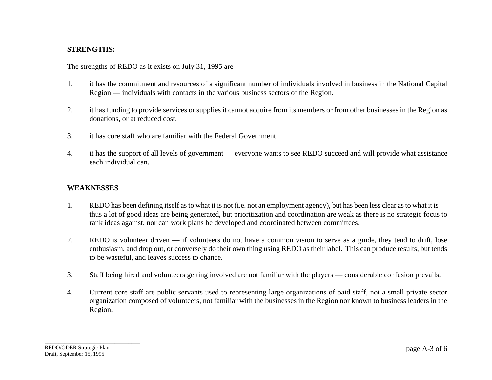#### **STRENGTHS:**

The strengths of REDO as it exists on July 31, 1995 are

- 1. it has the commitment and resources of a significant number of individuals involved in business in the National Capital Region — individuals with contacts in the various business sectors of the Region.
- 2. it has funding to provide services or supplies it cannot acquire from its members or from other businesses in the Region as donations, or at reduced cost.
- 3. it has core staff who are familiar with the Federal Government
- 4. it has the support of all levels of government everyone wants to see REDO succeed and will provide what assistance each individual can.

#### **WEAKNESSES**

- 1. REDO has been defining itself as to what it is not (i.e. not an employment agency), but has been less clear as to what it is thus a lot of good ideas are being generated, but prioritization and coordination are weak as there is no strategic focus to rank ideas against, nor can work plans be developed and coordinated between committees.
- 2. REDO is volunteer driven if volunteers do not have a common vision to serve as a guide, they tend to drift, lose enthusiasm, and drop out, or conversely do their own thing using REDO as their label. This can produce results, but tends to be wasteful, and leaves success to chance.
- 3. Staff being hired and volunteers getting involved are not familiar with the players considerable confusion prevails.
- 4. Current core staff are public servants used to representing large organizations of paid staff, not a small private sector organization composed of volunteers, not familiar with the businesses in the Region nor known to business leaders in the Region.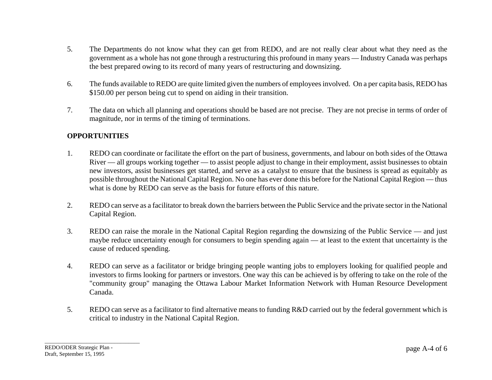- 5. The Departments do not know what they can get from REDO, and are not really clear about what they need as the government as a whole has not gone through a restructuring this profound in many years — Industry Canada was perhaps the best prepared owing to its record of many years of restructuring and downsizing.
- 6. The funds available to REDO are quite limited given the numbers of employees involved. On a per capita basis, REDO has \$150.00 per person being cut to spend on aiding in their transition.
- 7. The data on which all planning and operations should be based are not precise. They are not precise in terms of order of magnitude, nor in terms of the timing of terminations.

#### **OPPORTUNITIES**

- 1. REDO can coordinate or facilitate the effort on the part of business, governments, and labour on both sides of the Ottawa River — all groups working together — to assist people adjust to change in their employment, assist businesses to obtain new investors, assist businesses get started, and serve as a catalyst to ensure that the business is spread as equitably as possible throughout the National Capital Region. No one has ever done this before for the National Capital Region — thus what is done by REDO can serve as the basis for future efforts of this nature.
- 2. REDO can serve as a facilitator to break down the barriers between the Public Service and the private sector in the National Capital Region.
- 3. REDO can raise the morale in the National Capital Region regarding the downsizing of the Public Service and just maybe reduce uncertainty enough for consumers to begin spending again — at least to the extent that uncertainty is the cause of reduced spending.
- 4. REDO can serve as a facilitator or bridge bringing people wanting jobs to employers looking for qualified people and investors to firms looking for partners or investors. One way this can be achieved is by offering to take on the role of the "community group" managing the Ottawa Labour Market Information Network with Human Resource Development Canada.
- 5. REDO can serve as a facilitator to find alternative means to funding R&D carried out by the federal government which is critical to industry in the National Capital Region.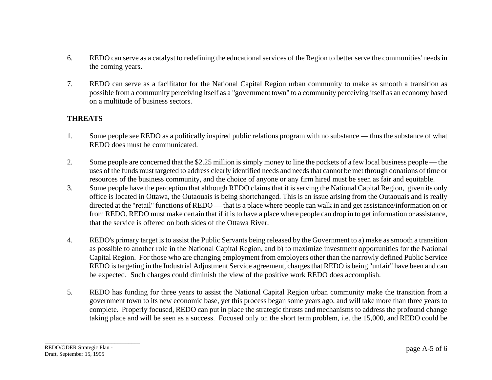- 6. REDO can serve as a catalyst to redefining the educational services of the Region to better serve the communities' needs in the coming years.
- 7. REDO can serve as a facilitator for the National Capital Region urban community to make as smooth a transition as possible from a community perceiving itself as a "government town" to a community perceiving itself as an economy based on a multitude of business sectors.

#### **THREATS**

- 1. Some people see REDO as a politically inspired public relations program with no substance thus the substance of what REDO does must be communicated.
- 2. Some people are concerned that the \$2.25 million is simply money to line the pockets of a few local business people the uses of the funds must targeted to address clearly identified needs and needs that cannot be met through donations of time or resources of the business community, and the choice of anyone or any firm hired must be seen as fair and equitable.
- 3. Some people have the perception that although REDO claims that it is serving the National Capital Region, given its only office is located in Ottawa, the Outaouais is being shortchanged. This is an issue arising from the Outaouais and is really directed at the "retail" functions of REDO — that is a place where people can walk in and get assistance/information on or from REDO. REDO must make certain that if it is to have a place where people can drop in to get information or assistance, that the service is offered on both sides of the Ottawa River.
- 4. REDO's primary target is to assist the Public Servants being released by the Government to a) make as smooth a transition as possible to another role in the National Capital Region, and b) to maximize investment opportunities for the National Capital Region. For those who are changing employment from employers other than the narrowly defined Public Service REDO is targeting in the Industrial Adjustment Service agreement, charges that REDO is being "unfair" have been and can be expected. Such charges could diminish the view of the positive work REDO does accomplish.
- 5. REDO has funding for three years to assist the National Capital Region urban community make the transition from a government town to its new economic base, yet this process began some years ago, and will take more than three years to complete. Properly focused, REDO can put in place the strategic thrusts and mechanisms to address the profound change taking place and will be seen as a success. Focused only on the short term problem, i.e. the 15,000, and REDO could be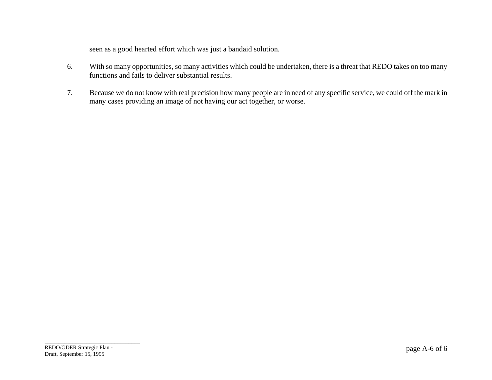seen as a good hearted effort which was just a bandaid solution.

- 6. With so many opportunities, so many activities which could be undertaken, there is a threat that REDO takes on too many functions and fails to deliver substantial results.
- 7. Because we do not know with real precision how many people are in need of any specific service, we could off the mark in many cases providing an image of not having our act together, or worse.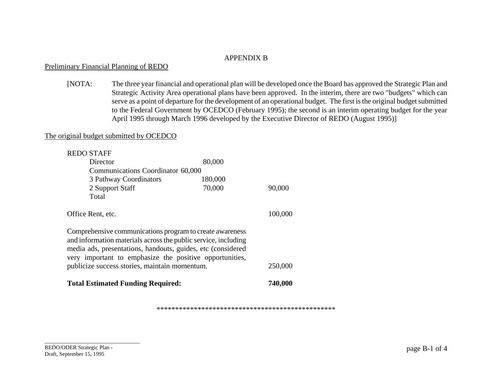#### APPENDIX B

#### Preliminary Financial Planning of REDO

[NOTA: The three year financial and operational plan will be developed once the Board has approved the Strategic Plan and Strategic Activity Area operational plans have been approved. In the interim, there are two "budgets" which can serve as a point of departure for the development of an operational budget. The first is the original budget submitted to the Federal Government by OCEDCO (February 1995); the second is an interim operating budget for the year April 1995 through March 1996 developed by the Executive Director of REDO (August 1995)]

#### The original budget submitted by OCEDCO

| <b>REDO STAFF</b>                                                                                                                                                                                                                                    |         |         |  |  |
|------------------------------------------------------------------------------------------------------------------------------------------------------------------------------------------------------------------------------------------------------|---------|---------|--|--|
| Director                                                                                                                                                                                                                                             | 80,000  |         |  |  |
| Communications Coordinator 60,000                                                                                                                                                                                                                    |         |         |  |  |
| 3 Pathway Coordinators                                                                                                                                                                                                                               | 180,000 |         |  |  |
| 2 Support Staff                                                                                                                                                                                                                                      | 70,000  | 90,000  |  |  |
| Total                                                                                                                                                                                                                                                |         |         |  |  |
| Office Rent, etc.                                                                                                                                                                                                                                    |         | 100,000 |  |  |
| Comprehensive communications program to create awareness<br>and information materials across the public service, including<br>media ads, presentations, handouts, guides, etc (considered<br>very important to emphasize the positive opportunities, |         |         |  |  |
| publicize success stories, maintain momentum.                                                                                                                                                                                                        |         | 250,000 |  |  |
| <b>Total Estimated Funding Required:</b>                                                                                                                                                                                                             |         | 740,000 |  |  |

\*\*\*\*\*\*\*\*\*\*\*\*\*\*\*\*\*\*\*\*\*\*\*\*\*\*\*\*\*\*\*\*\*\*\*\*\*\*\*\*\*\*\*\*\*\*\*\*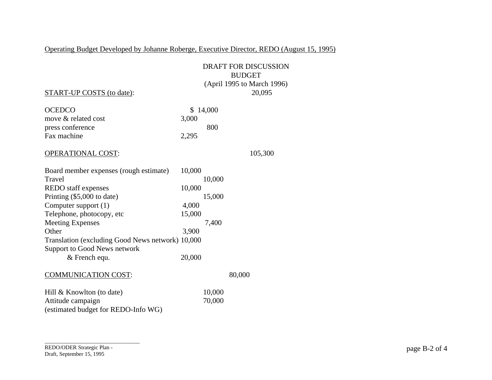Operating Budget Developed by Johanne Roberge, Executive Director, REDO (August 15, 1995)

|                                                  | <b>DRAFT FOR DISCUSSION</b><br><b>BUDGET</b> |        |                            |
|--------------------------------------------------|----------------------------------------------|--------|----------------------------|
|                                                  |                                              |        | (April 1995 to March 1996) |
| <b>START-UP COSTS (to date):</b>                 |                                              |        | 20,095                     |
| <b>OCEDCO</b>                                    | \$                                           | 14,000 |                            |
| move & related cost                              | 3,000                                        |        |                            |
| press conference                                 |                                              | 800    |                            |
| Fax machine                                      | 2,295                                        |        |                            |
| <b>OPERATIONAL COST:</b>                         |                                              |        | 105,300                    |
| Board member expenses (rough estimate)           | 10,000                                       |        |                            |
| Travel                                           |                                              | 10,000 |                            |
| REDO staff expenses                              | 10,000                                       |        |                            |
| Printing (\$5,000 to date)                       |                                              | 15,000 |                            |
| Computer support (1)                             | 4,000                                        |        |                            |
| Telephone, photocopy, etc                        | 15,000                                       |        |                            |
| <b>Meeting Expenses</b>                          |                                              | 7,400  |                            |
| Other                                            | 3,900                                        |        |                            |
| Translation (excluding Good News network) 10,000 |                                              |        |                            |
| <b>Support to Good News network</b>              |                                              |        |                            |
| & French equ.                                    | 20,000                                       |        |                            |
| <b>COMMUNICATION COST:</b>                       |                                              |        | 80,000                     |
| Hill $&$ Knowlton (to date)                      |                                              | 10,000 |                            |
| Attitude campaign                                |                                              | 70,000 |                            |
| (estimated budget for REDO-Info WG)              |                                              |        |                            |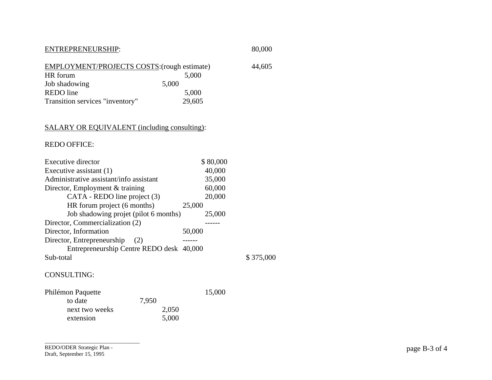| ENTREPRENEURSHIP:                                  |        | 80,000 |
|----------------------------------------------------|--------|--------|
| <b>EMPLOYMENT/PROJECTS COSTS: (rough estimate)</b> |        | 44,605 |
| HR forum                                           | 5,000  |        |
| Job shadowing                                      | 5,000  |        |
| REDO line                                          | 5,000  |        |
| Transition services "inventory"                    | 29,605 |        |

# SALARY OR EQUIVALENT (including consulting):

#### REDO OFFICE:

| 40,000<br>Executive assistant (1)<br>Administrative assistant/info assistant<br>35,000<br>60,000<br>Director, Employment & training<br>CATA - REDO line project (3)<br>20,000<br>HR forum project (6 months)<br>25,000<br>Job shadowing projet (pilot 6 months)<br>25,000 |
|---------------------------------------------------------------------------------------------------------------------------------------------------------------------------------------------------------------------------------------------------------------------------|
|                                                                                                                                                                                                                                                                           |
|                                                                                                                                                                                                                                                                           |
|                                                                                                                                                                                                                                                                           |
|                                                                                                                                                                                                                                                                           |
|                                                                                                                                                                                                                                                                           |
|                                                                                                                                                                                                                                                                           |
| Director, Commercialization (2)                                                                                                                                                                                                                                           |
| Director, Information<br>50,000                                                                                                                                                                                                                                           |
| Director, Entrepreneurship<br>(2)                                                                                                                                                                                                                                         |
| Entrepreneurship Centre REDO desk 40,000                                                                                                                                                                                                                                  |
| Sub-total                                                                                                                                                                                                                                                                 |

 $$375,000$ 

#### CONSULTING:

| Philémon Paquette |       | 15,000 |
|-------------------|-------|--------|
| to date           | 7.950 |        |
| next two weeks    | 2,050 |        |
| extension         | 5,000 |        |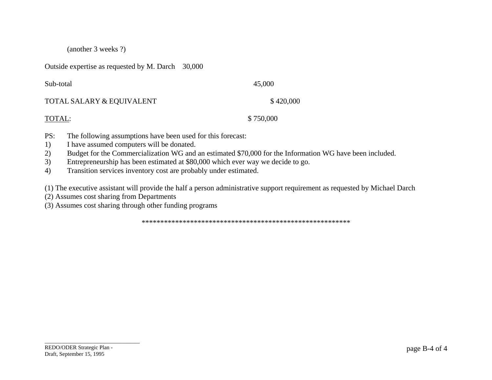(another 3 weeks ?)

Outside expertise as requested by M. Darch 30,000

| Sub-total                 | 45,000    |
|---------------------------|-----------|
| TOTAL SALARY & EQUIVALENT | \$420,000 |
| TOTAL:                    | \$750,000 |

- PS: The following assumptions have been used for this forecast:
- 1) I have assumed computers will be donated.
- 2) Budget for the Commercialization WG and an estimated \$70,000 for the Information WG have been included.
- 3) Entrepreneurship has been estimated at \$80,000 which ever way we decide to go.
- 4) Transition services inventory cost are probably under estimated.

(1) The executive assistant will provide the half a person administrative support requirement as requested by Michael Darch

(2) Assumes cost sharing from Departments

(3) Assumes cost sharing through other funding programs

\*\*\*\*\*\*\*\*\*\*\*\*\*\*\*\*\*\*\*\*\*\*\*\*\*\*\*\*\*\*\*\*\*\*\*\*\*\*\*\*\*\*\*\*\*\*\*\*\*\*\*\*\*\*\*\*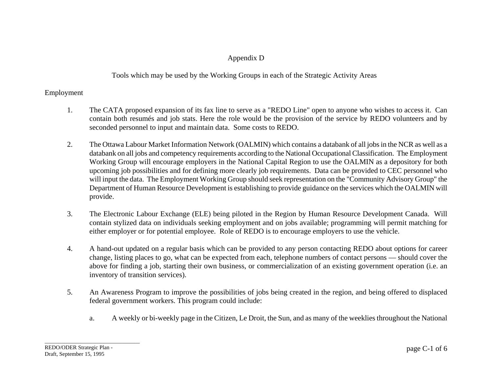# Appendix D

Tools which may be used by the Working Groups in each of the Strategic Activity Areas

# Employment

- 1. The CATA proposed expansion of its fax line to serve as a "REDO Line" open to anyone who wishes to access it. Can contain both resumés and job stats. Here the role would be the provision of the service by REDO volunteers and by seconded personnel to input and maintain data. Some costs to REDO.
- 2. The Ottawa Labour Market Information Network (OALMIN) which contains a databank of all jobs in the NCR as well as a databank on all jobs and competency requirements according to the National Occupational Classification. The Employment Working Group will encourage employers in the National Capital Region to use the OALMIN as a depository for both upcoming job possibilities and for defining more clearly job requirements. Data can be provided to CEC personnel who will input the data. The Employment Working Group should seek representation on the "Community Advisory Group" the Department of Human Resource Development is establishing to provide guidance on the services which the OALMIN will provide.
- 3. The Electronic Labour Exchange (ELE) being piloted in the Region by Human Resource Development Canada. Will contain stylized data on individuals seeking employment and on jobs available; programming will permit matching for either employer or for potential employee. Role of REDO is to encourage employers to use the vehicle.
- 4. A hand-out updated on a regular basis which can be provided to any person contacting REDO about options for career change, listing places to go, what can be expected from each, telephone numbers of contact persons — should cover the above for finding a job, starting their own business, or commercialization of an existing government operation (i.e. an inventory of transition services).
- 5. An Awareness Program to improve the possibilities of jobs being created in the region, and being offered to displaced federal government workers. This program could include:
	- a. A weekly or bi-weekly page in the Citizen, Le Droit, the Sun, and as many of the weeklies throughout the National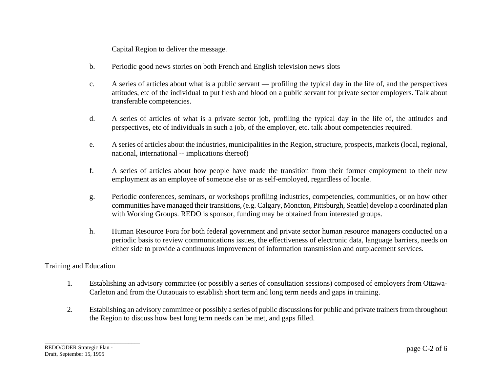Capital Region to deliver the message.

- b. Periodic good news stories on both French and English television news slots
- c. A series of articles about what is a public servant profiling the typical day in the life of, and the perspectives attitudes, etc of the individual to put flesh and blood on a public servant for private sector employers. Talk about transferable competencies.
- d. A series of articles of what is a private sector job, profiling the typical day in the life of, the attitudes and perspectives, etc of individuals in such a job, of the employer, etc. talk about competencies required.
- e. A series of articles about the industries, municipalities in the Region, structure, prospects, markets (local, regional, national, international -- implications thereof)
- f. A series of articles about how people have made the transition from their former employment to their new employment as an employee of someone else or as self-employed, regardless of locale.
- g. Periodic conferences, seminars, or workshops profiling industries, competencies, communities, or on how other communities have managed their transitions, (e.g. Calgary, Moncton, Pittsburgh, Seattle) develop a coordinated plan with Working Groups. REDO is sponsor, funding may be obtained from interested groups.
- h. Human Resource Fora for both federal government and private sector human resource managers conducted on a periodic basis to review communications issues, the effectiveness of electronic data, language barriers, needs on either side to provide a continuous improvement of information transmission and outplacement services.

#### Training and Education

- 1. Establishing an advisory committee (or possibly a series of consultation sessions) composed of employers from Ottawa-Carleton and from the Outaouais to establish short term and long term needs and gaps in training.
- 2. Establishing an advisory committee or possibly a series of public discussions for public and private trainers from throughout the Region to discuss how best long term needs can be met, and gaps filled.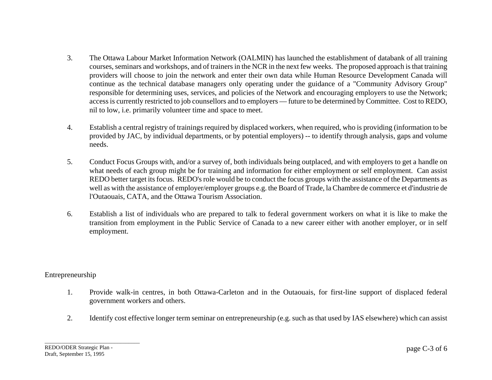- 3. The Ottawa Labour Market Information Network (OALMIN) has launched the establishment of databank of all training courses, seminars and workshops, and of trainers in the NCR in the next few weeks. The proposed approach is that training providers will choose to join the network and enter their own data while Human Resource Development Canada will continue as the technical database managers only operating under the guidance of a "Community Advisory Group" responsible for determining uses, services, and policies of the Network and encouraging employers to use the Network; access is currently restricted to job counsellors and to employers — future to be determined by Committee. Cost to REDO, nil to low, i.e. primarily volunteer time and space to meet.
- 4. Establish a central registry of trainings required by displaced workers, when required, who is providing (information to be provided by JAC, by individual departments, or by potential employers) -- to identify through analysis, gaps and volume needs.
- 5. Conduct Focus Groups with, and/or a survey of, both individuals being outplaced, and with employers to get a handle on what needs of each group might be for training and information for either employment or self employment. Can assist REDO better target its focus. REDO's role would be to conduct the focus groups with the assistance of the Departments as well as with the assistance of employer/employer groups e.g. the Board of Trade, la Chambre de commerce et d'industrie de l'Outaouais, CATA, and the Ottawa Tourism Association.
- 6. Establish a list of individuals who are prepared to talk to federal government workers on what it is like to make the transition from employment in the Public Service of Canada to a new career either with another employer, or in self employment.

# Entrepreneurship

- 1. Provide walk-in centres, in both Ottawa-Carleton and in the Outaouais, for first-line support of displaced federal government workers and others.
- 2. Identify cost effective longer term seminar on entrepreneurship (e.g. such as that used by IAS elsewhere) which can assist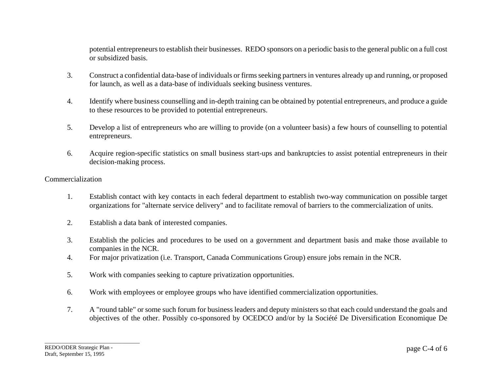potential entrepreneurs to establish their businesses. REDO sponsors on a periodic basis to the general public on a full cost or subsidized basis.

- 3. Construct a confidential data-base of individuals or firms seeking partners in ventures already up and running, or proposed for launch, as well as a data-base of individuals seeking business ventures.
- 4. Identify where business counselling and in-depth training can be obtained by potential entrepreneurs, and produce a guide to these resources to be provided to potential entrepreneurs.
- 5. Develop a list of entrepreneurs who are willing to provide (on a volunteer basis) a few hours of counselling to potential entrepreneurs.
- 6. Acquire region-specific statistics on small business start-ups and bankruptcies to assist potential entrepreneurs in their decision-making process.

#### Commercialization

- 1. Establish contact with key contacts in each federal department to establish two-way communication on possible target organizations for "alternate service delivery" and to facilitate removal of barriers to the commercialization of units.
- 2. Establish a data bank of interested companies.
- 3. Establish the policies and procedures to be used on a government and department basis and make those available to companies in the NCR.
- 4. For major privatization (i.e. Transport, Canada Communications Group) ensure jobs remain in the NCR.
- 5. Work with companies seeking to capture privatization opportunities.
- 6. Work with employees or employee groups who have identified commercialization opportunities.
- 7. A "round table" or some such forum for business leaders and deputy ministers so that each could understand the goals and objectives of the other. Possibly co-sponsored by OCEDCO and/or by la Société De Diversification Economique De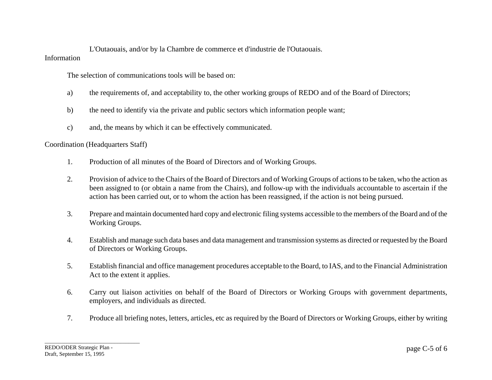L'Outaouais, and/or by la Chambre de commerce et d'industrie de l'Outaouais. Information

The selection of communications tools will be based on:

- a) the requirements of, and acceptability to, the other working groups of REDO and of the Board of Directors;
- b) the need to identify via the private and public sectors which information people want;
- c) and, the means by which it can be effectively communicated.

Coordination (Headquarters Staff)

- 1. Production of all minutes of the Board of Directors and of Working Groups.
- 2. Provision of advice to the Chairs of the Board of Directors and of Working Groups of actions to be taken, who the action as been assigned to (or obtain a name from the Chairs), and follow-up with the individuals accountable to ascertain if the action has been carried out, or to whom the action has been reassigned, if the action is not being pursued.
- 3. Prepare and maintain documented hard copy and electronic filing systems accessible to the members of the Board and of the Working Groups.
- 4. Establish and manage such data bases and data management and transmission systems as directed or requested by the Board of Directors or Working Groups.
- 5. Establish financial and office management procedures acceptable to the Board, to IAS, and to the Financial Administration Act to the extent it applies.
- 6. Carry out liaison activities on behalf of the Board of Directors or Working Groups with government departments, employers, and individuals as directed.
- 7. Produce all briefing notes, letters, articles, etc as required by the Board of Directors or Working Groups, either by writing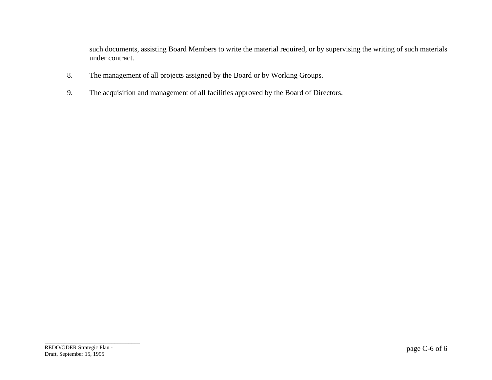such documents, assisting Board Members to write the material required, or by supervising the writing of such materials under contract.

- 8. The management of all projects assigned by the Board or by Working Groups.
- 9. The acquisition and management of all facilities approved by the Board of Directors.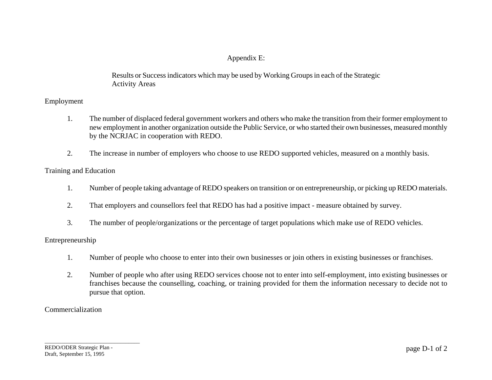# Appendix E:

Results or Success indicators which may be used by Working Groups in each of the Strategic Activity Areas

# Employment

- 1. The number of displaced federal government workers and others who make the transition from their former employment to new employment in another organization outside the Public Service, or who started their own businesses, measured monthly by the NCRJAC in cooperation with REDO.
- 2. The increase in number of employers who choose to use REDO supported vehicles, measured on a monthly basis.

### Training and Education

- 1. Number of people taking advantage of REDO speakers on transition or on entrepreneurship, or picking up REDO materials.
- 2. That employers and counsellors feel that REDO has had a positive impact measure obtained by survey.
- 3. The number of people/organizations or the percentage of target populations which make use of REDO vehicles.

#### Entrepreneurship

- 1. Number of people who choose to enter into their own businesses or join others in existing businesses or franchises.
- 2. Number of people who after using REDO services choose not to enter into self-employment, into existing businesses or franchises because the counselling, coaching, or training provided for them the information necessary to decide not to pursue that option.

# Commercialization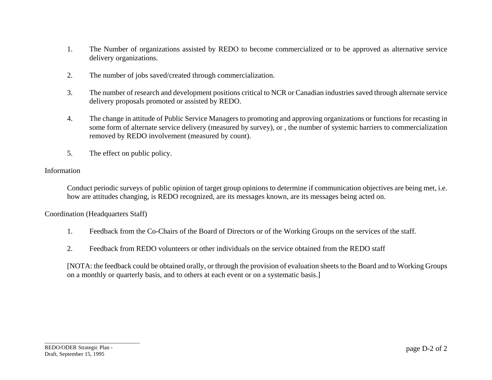- 1. The Number of organizations assisted by REDO to become commercialized or to be approved as alternative service delivery organizations.
- 2. The number of jobs saved/created through commercialization.
- 3. The number of research and development positions critical to NCR or Canadian industries saved through alternate service delivery proposals promoted or assisted by REDO.
- 4. The change in attitude of Public Service Managers to promoting and approving organizations or functions for recasting in some form of alternate service delivery (measured by survey), or , the number of systemic barriers to commercialization removed by REDO involvement (measured by count).
- 5. The effect on public policy.

#### Information

Conduct periodic surveys of public opinion of target group opinions to determine if communication objectives are being met, i.e. how are attitudes changing, is REDO recognized, are its messages known, are its messages being acted on.

Coordination (Headquarters Staff)

- 1. Feedback from the Co-Chairs of the Board of Directors or of the Working Groups on the services of the staff.
- 2. Feedback from REDO volunteers or other individuals on the service obtained from the REDO staff

[NOTA: the feedback could be obtained orally, or through the provision of evaluation sheets to the Board and to Working Groups on a monthly or quarterly basis, and to others at each event or on a systematic basis.]